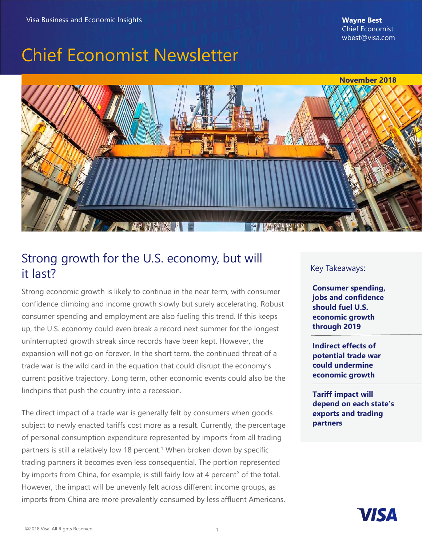# Chief Economist Newsletter



### Strong growth for the U.S. economy, but will it last?

Strong economic growth is likely to continue in the near term, with consumer confidence climbing and income growth slowly but surely accelerating. Robust consumer spending and employment are also fueling this trend. If this keeps up, the U.S. economy could even break a record next summer for the longest uninterrupted growth streak since records have been kept. However, the expansion will not go on forever. In the short term, the continued threat of a trade war is the wild card in the equation that could disrupt the economy's current positive trajectory. Long term, other economic events could also be the linchpins that push the country into a recession.

 of personal consumption expenditure represented by imports from all trading The direct impact of a trade war is generally felt by consumers when goods subject to newly enacted tariffs cost more as a result. Currently, the percentage partners is still a relatively low 18 percent.<sup>1</sup> When broken down by specific trading partners it becomes even less consequential. The portion represented by imports from China, for example, is still fairly low at 4 percent<sup>2</sup> of the total. However, the impact will be unevenly felt across different income groups, as imports from China are more prevalently consumed by less affluent Americans.

#### Key Takeaways:

**Consumer spending, jobs and confidence should fuel U.S. economic growth through 2019**

**Indirect effects of potential trade war could undermine economic growth**

**Tariff impact will depend on each state's exports and trading partners**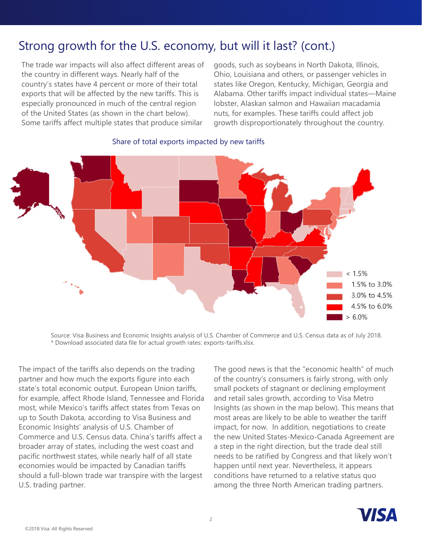## Strong growth for the U.S. economy, but will it last? (cont.)

The trade war impacts will also affect different areas of the country in different ways. Nearly half of the country's states have 4 percent or more of their total exports that will be affected by the new tariffs. This is especially pronounced in much of the central region of the United States (as shown in the chart below). Some tariffs affect multiple states that produce similar

goods, such as soybeans in North Dakota, Illinois, Ohio, Louisiana and others, or passenger vehicles in states like Oregon, Kentucky, Michigan, Georgia and Alabama. Other tariffs impact individual states—Maine lobster, Alaskan salmon and Hawaiian macadamia nuts, for examples. These tariffs could affect job growth disproportionately throughout the country.



#### Share of total exports impacted by new tariffs

Source: Visa Business and Economic Insights analysis of U.S. Chamber of Commerce and U.S. Census data as of July 2018. \* Download associated data file for actual growth rates: exports-tariffs.xlsx.

The impact of the tariffs also depends on the trading partner and how much the exports figure into each state's total economic output. European Union tariffs, for example, affect Rhode Island, Tennessee and Florida most, while Mexico's tariffs affect states from Texas on up to South Dakota, according to Visa Business and Economic Insights' analysis of U.S. Chamber of Commerce and U.S. Census data. China's tariffs affect a broader array of states, including the west coast and pacific northwest states, while nearly half of all state economies would be impacted by Canadian tariffs should a full-blown trade war transpire with the largest U.S. trading partner.

 of the country's consumers is fairly strong, with only The good news is that the "economic health" of much small pockets of stagnant or declining employment and retail sales growth, according to Visa Metro Insights (as shown in the map below). This means that most areas are likely to be able to weather the tariff impact, for now. In addition, negotiations to create the new United States-Mexico-Canada Agreement are a step in the right direction, but the trade deal still needs to be ratified by Congress and that likely won't happen until next year. Nevertheless, it appears conditions have returned to a relative status quo among the three North American trading partners.

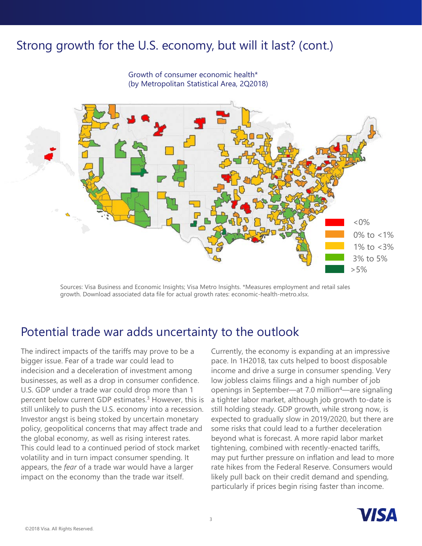### Strong growth for the U.S. economy, but will it last? (cont.)

 $< 0\%$ 1% to <3% 3% to 5% 0% to <1%  $>5%$ 

Growth of consumer economic health\* (by Metropolitan Statistical Area, 2Q2018)

Sources: Visa Business and Economic Insights; Visa Metro Insights. \*Measures employment and retail sales growth. Download associated data file for actual growth rates: economic-health-metro.xlsx.

#### Potential trade war adds uncertainty to the outlook

The indirect impacts of the tariffs may prove to be a bigger issue. Fear of a trade war could lead to indecision and a deceleration of investment among businesses, as well as a drop in consumer confidence. U.S. GDP under a trade war could drop more than 1 percent below current GDP estimates.<sup>3</sup> However, this is still unlikely to push the U.S. economy into a recession. Investor angst is being stoked by uncertain monetary policy, geopolitical concerns that may affect trade and the global economy, as well as rising interest rates. This could lead to a continued period of stock market volatility and in turn impact consumer spending. It appears, the *fear* of a trade war would have a larger impact on the economy than the trade war itself.

 expected to gradually slow in 2019/2020, but there are Currently, the economy is expanding at an impressive pace. In 1H2018, tax cuts helped to boost disposable income and drive a surge in consumer spending. Very low jobless claims filings and a high number of job openings in September—at 7.0 million4—are signaling a tighter labor market, although job growth to-date is still holding steady. GDP growth, while strong now, is some risks that could lead to a further deceleration beyond what is forecast. A more rapid labor market tightening, combined with recently-enacted tariffs, may put further pressure on inflation and lead to more rate hikes from the Federal Reserve. Consumers would likely pull back on their credit demand and spending, particularly if prices begin rising faster than income.